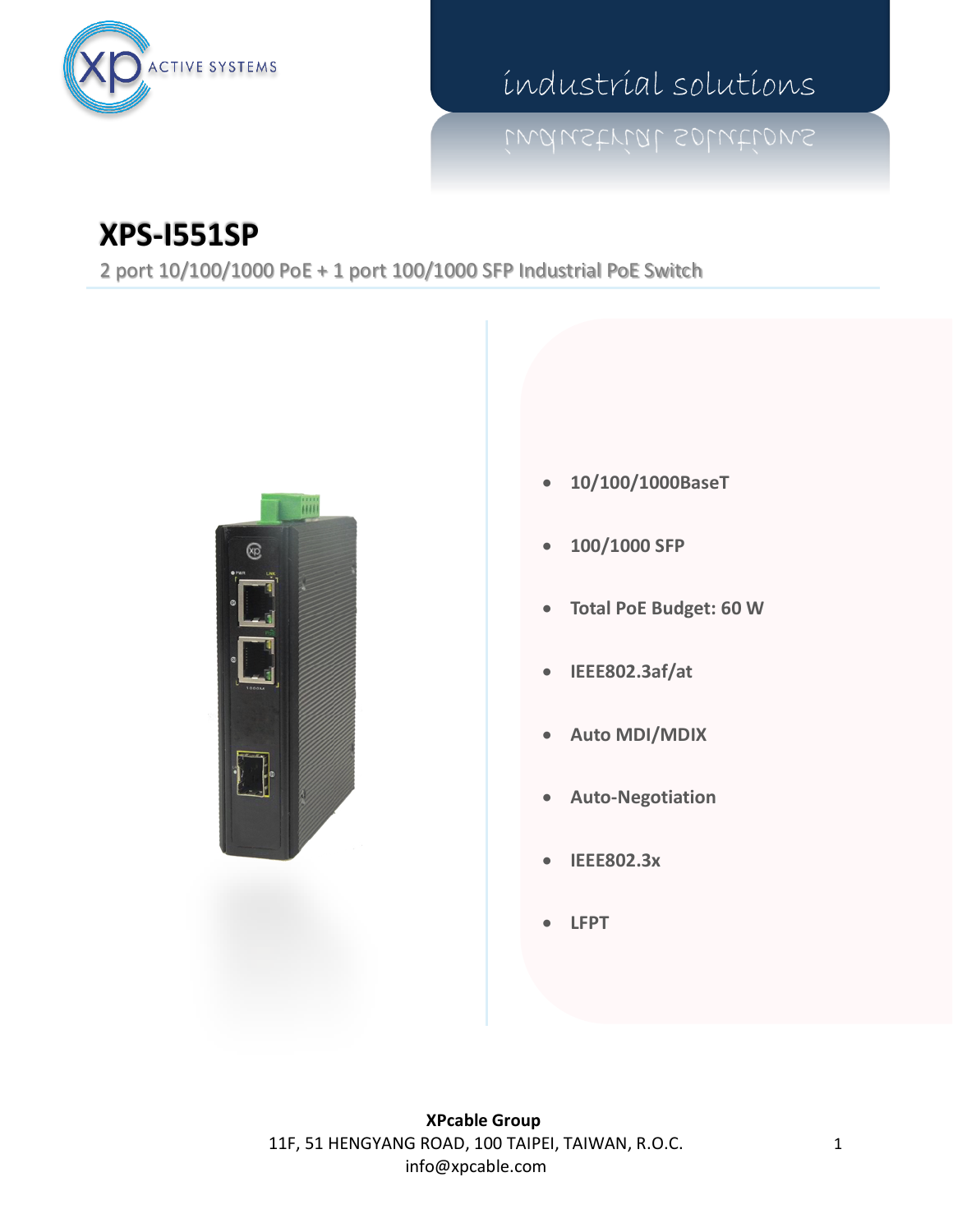

industrial solutions

## **XPS-I551SP**

2 port 10/100/1000 PoE + 1 port 100/1000 SFP Industrial PoE Switch



- **10/100/1000BaseT**
- **100/1000 SFP**
- **Total PoE Budget: 60 W**
- **IEEE802.3af/at**
- **Auto MDI/MDIX**
- **Auto-Negotiation**
- **IEEE802.3x**
- **LFPT**